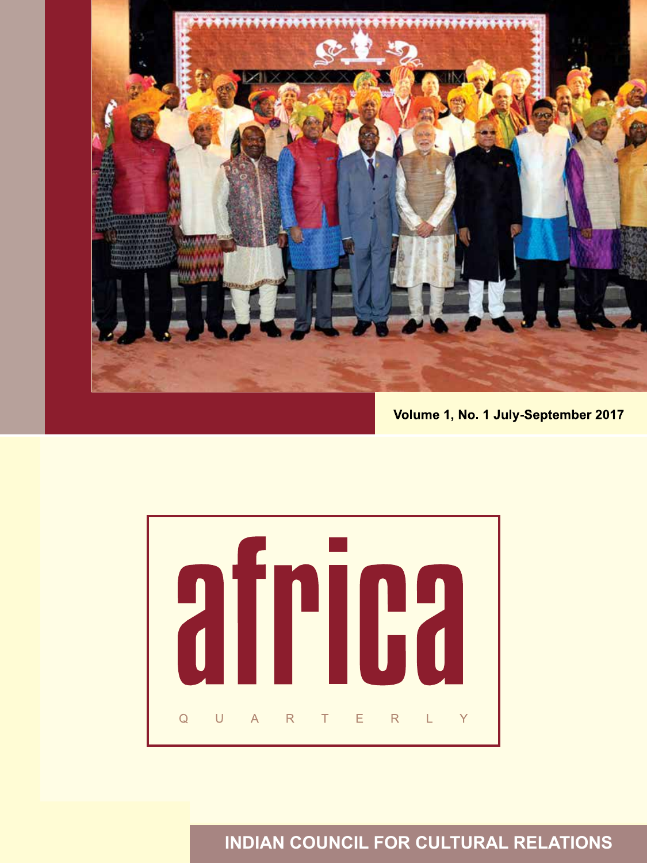

Volume 1, No. 1 July-September 2017



**INDIAN COUNCIL FOR CULTURAL RELATIONS**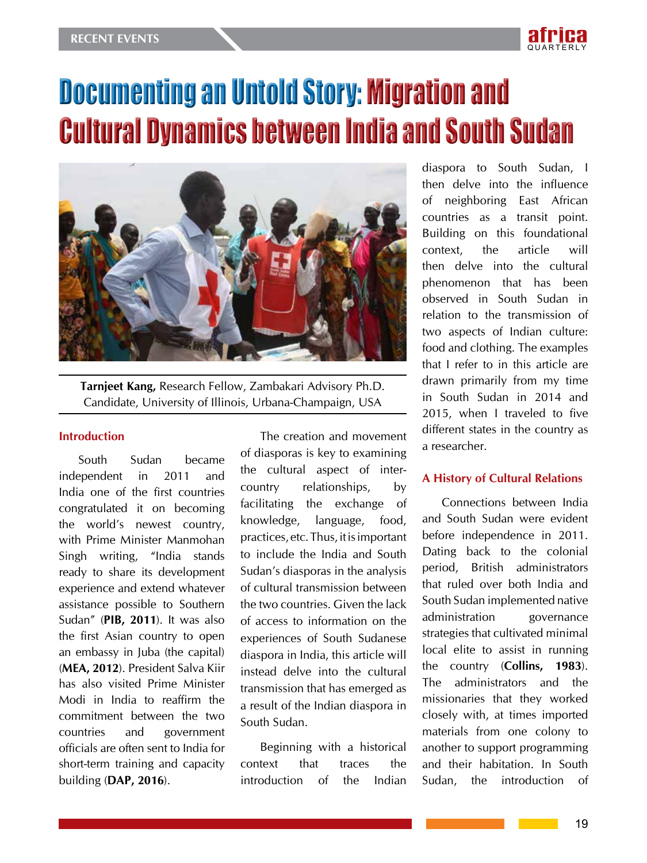

# Documenting an Untold Story: Migration and Cultural Dynamics between India and South Sudan



**Tarnjeet Kang,** Research Fellow, Zambakari Advisory Ph.D. Candidate, University of Illinois, Urbana-Champaign, USA

#### **Introduction**

South Sudan became independent in 2011 and India one of the first countries congratulated it on becoming the world's newest country, with Prime Minister Manmohan Singh writing, "India stands ready to share its development experience and extend whatever assistance possible to Southern Sudan" (**PIB, 2011**). It was also the first Asian country to open an embassy in Juba (the capital) (**MEA, 2012**). President Salva Kiir has also visited Prime Minister Modi in India to reaffirm the commitment between the two countries and government officials are often sent to India for short-term training and capacity building (**DAP, 2016**).

The creation and movement of diasporas is key to examining the cultural aspect of intercountry relationships, by facilitating the exchange of knowledge, language, food, practices, etc. Thus, it is important to include the India and South Sudan's diasporas in the analysis of cultural transmission between the two countries. Given the lack of access to information on the experiences of South Sudanese diaspora in India, this article will instead delve into the cultural transmission that has emerged as a result of the Indian diaspora in South Sudan.

Beginning with a historical context that traces the introduction of the Indian

diaspora to South Sudan, I then delve into the influence of neighboring East African countries as a transit point. Building on this foundational context, the article will then delve into the cultural phenomenon that has been observed in South Sudan in relation to the transmission of two aspects of Indian culture: food and clothing. The examples that I refer to in this article are drawn primarily from my time in South Sudan in 2014 and 2015, when I traveled to five different states in the country as a researcher.

#### **A History of Cultural Relations**

Connections between India and South Sudan were evident before independence in 2011. Dating back to the colonial period, British administrators that ruled over both India and South Sudan implemented native administration governance strategies that cultivated minimal local elite to assist in running the country (**Collins, 1983**). The administrators and the missionaries that they worked closely with, at times imported materials from one colony to another to support programming and their habitation. In South Sudan, the introduction of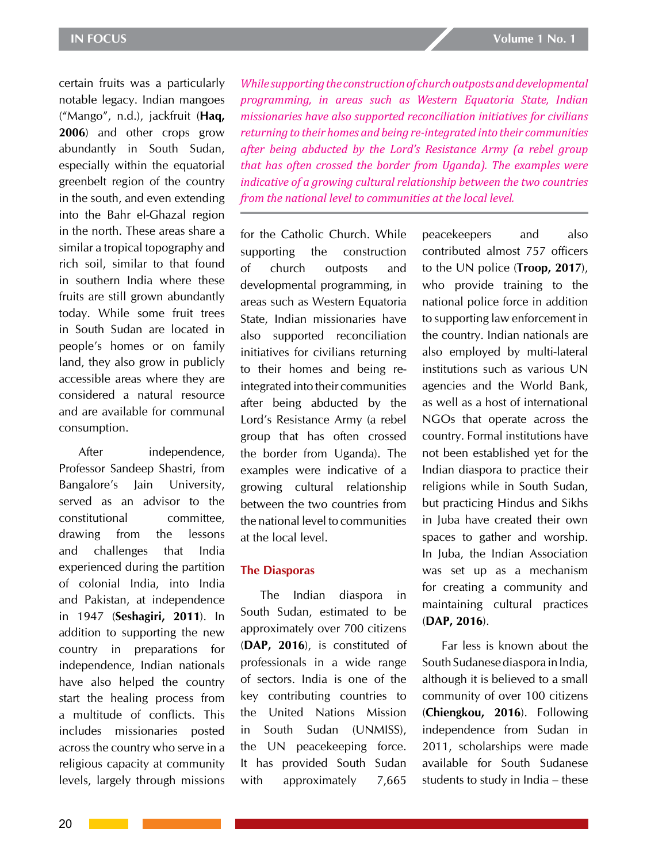certain fruits was a particularly notable legacy. Indian mangoes ("Mango", n.d.), jackfruit (**Haq, 2006**) and other crops grow abundantly in South Sudan, especially within the equatorial greenbelt region of the country in the south, and even extending into the Bahr el-Ghazal region in the north. These areas share a similar a tropical topography and rich soil, similar to that found in southern India where these fruits are still grown abundantly today. While some fruit trees in South Sudan are located in people's homes or on family land, they also grow in publicly accessible areas where they are considered a natural resource and are available for communal consumption.

After independence, Professor Sandeep Shastri, from Bangalore's Jain University, served as an advisor to the constitutional committee, drawing from the lessons and challenges that India experienced during the partition of colonial India, into India and Pakistan, at independence in 1947 (**Seshagiri, 2011**). In addition to supporting the new country in preparations for independence, Indian nationals have also helped the country start the healing process from a multitude of conflicts. This includes missionaries posted across the country who serve in a religious capacity at community levels, largely through missions

*While supporting the construction of church outposts and developmental programming, in areas such as Western Equatoria State, Indian missionaries have also supported reconciliation initiatives for civilians returning to their homes and being re-integrated into their communities after being abducted by the Lord's Resistance Army (a rebel group that has often crossed the border from Uganda). The examples were indicative of a growing cultural relationship between the two countries from the national level to communities at the local level.*

for the Catholic Church. While supporting the construction of church outposts and developmental programming, in areas such as Western Equatoria State, Indian missionaries have also supported reconciliation initiatives for civilians returning to their homes and being reintegrated into their communities after being abducted by the Lord's Resistance Army (a rebel group that has often crossed the border from Uganda). The examples were indicative of a growing cultural relationship between the two countries from the national level to communities at the local level.

#### **The Diasporas**

The Indian diaspora in South Sudan, estimated to be approximately over 700 citizens (**DAP, 2016**), is constituted of professionals in a wide range of sectors. India is one of the key contributing countries to the United Nations Mission in South Sudan (UNMISS), the UN peacekeeping force. It has provided South Sudan with approximately 7,665

peacekeepers and also contributed almost 757 officers to the UN police (**Troop, 2017**), who provide training to the national police force in addition to supporting law enforcement in the country. Indian nationals are also employed by multi-lateral institutions such as various UN agencies and the World Bank, as well as a host of international NGOs that operate across the country. Formal institutions have not been established yet for the Indian diaspora to practice their religions while in South Sudan, but practicing Hindus and Sikhs in Juba have created their own spaces to gather and worship. In Juba, the Indian Association was set up as a mechanism for creating a community and maintaining cultural practices (**DAP, 2016**).

Far less is known about the South Sudanese diaspora in India, although it is believed to a small community of over 100 citizens (**Chiengkou, 2016**). Following independence from Sudan in 2011, scholarships were made available for South Sudanese students to study in India – these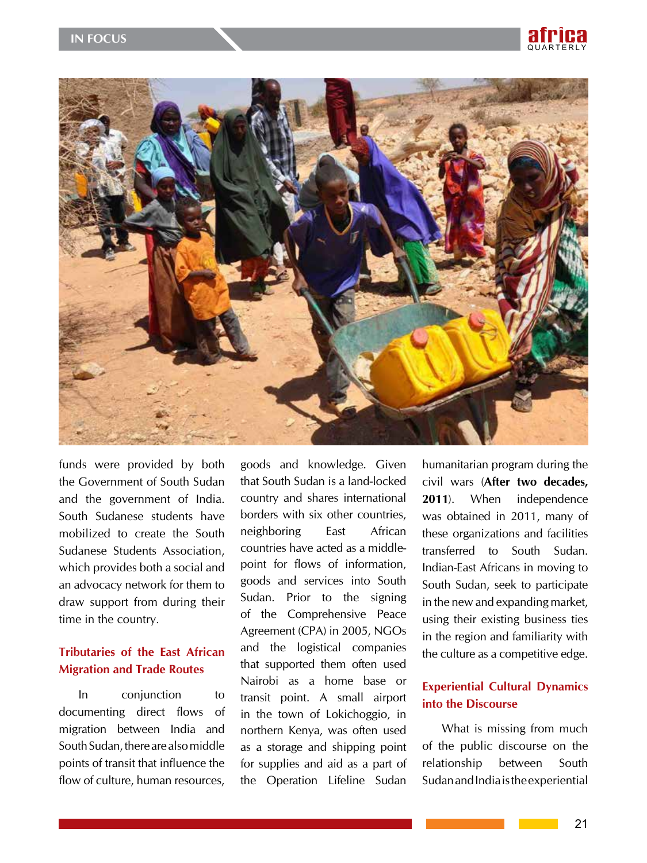



funds were provided by both the Government of South Sudan and the government of India. South Sudanese students have mobilized to create the South Sudanese Students Association, which provides both a social and an advocacy network for them to draw support from during their time in the country.

# **Tributaries of the East African Migration and Trade Routes**

In conjunction to documenting direct flows of migration between India and South Sudan, there are also middle points of transit that influence the flow of culture, human resources,

goods and knowledge. Given that South Sudan is a land-locked country and shares international borders with six other countries, neighboring East African countries have acted as a middlepoint for flows of information, goods and services into South Sudan. Prior to the signing of the Comprehensive Peace Agreement (CPA) in 2005, NGOs and the logistical companies that supported them often used Nairobi as a home base or transit point. A small airport in the town of Lokichoggio, in northern Kenya, was often used as a storage and shipping point for supplies and aid as a part of the Operation Lifeline Sudan

humanitarian program during the civil wars (**After two decades, 2011**). When independence was obtained in 2011, many of these organizations and facilities transferred to South Sudan. Indian-East Africans in moving to South Sudan, seek to participate in the new and expanding market, using their existing business ties in the region and familiarity with the culture as a competitive edge.

## **Experiential Cultural Dynamics into the Discourse**

What is missing from much of the public discourse on the relationship between South Sudan and India is the experiential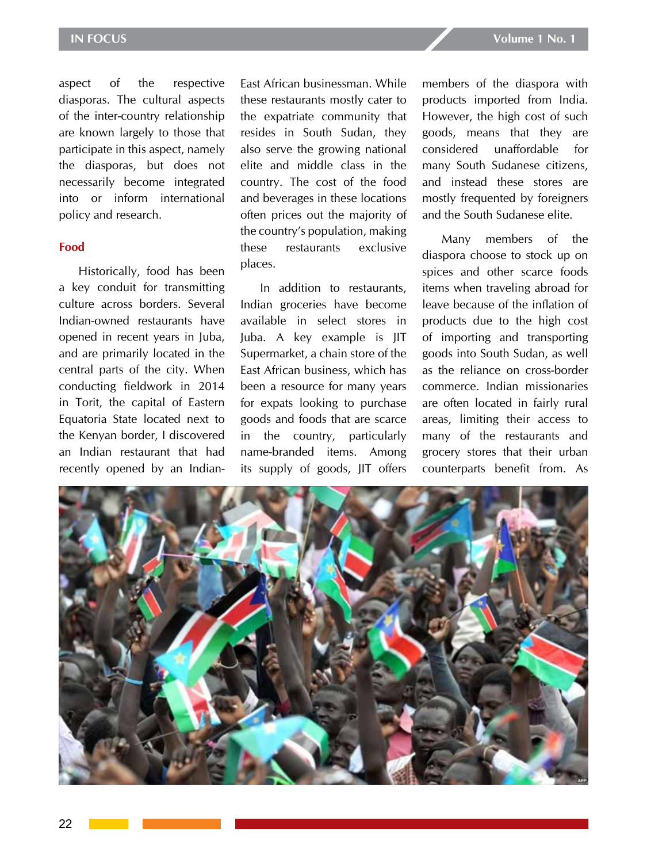aspect of the respective diasporas. The cultural aspects of the inter-country relationship are known largely to those that participate in this aspect, namely the diasporas, but does not necessarily become integrated into or inform international policy and research.

#### **Food**

Historically, food has been a key conduit for transmitting culture across borders. Several Indian-owned restaurants have opened in recent years in Juba, and are primarily located in the central parts of the city. When conducting fieldwork in 2014 in Torit, the capital of Eastern Equatoria State located next to the Kenyan border, I discovered an Indian restaurant that had recently opened by an Indian-

East African businessman. While these restaurants mostly cater to the expatriate community that resides in South Sudan, they also serve the growing national elite and middle class in the country. The cost of the food and beverages in these locations often prices out the majority of the country's population, making these restaurants exclusive places.

In addition to restaurants, Indian groceries have become available in select stores in Juba. A key example is JIT Supermarket, a chain store of the East African business, which has been a resource for many years for expats looking to purchase goods and foods that are scarce in the country, particularly name-branded items. Among its supply of goods, JIT offers

members of the diaspora with products imported from India. However, the high cost of such goods, means that they are considered unaffordable for many South Sudanese citizens, and instead these stores are mostly frequented by foreigners and the South Sudanese elite.

Many members of the diaspora choose to stock up on spices and other scarce foods items when traveling abroad for leave because of the inflation of products due to the high cost of importing and transporting goods into South Sudan, as well as the reliance on cross-border commerce. Indian missionaries are often located in fairly rural areas, limiting their access to many of the restaurants and grocery stores that their urban counterparts benefit from. As

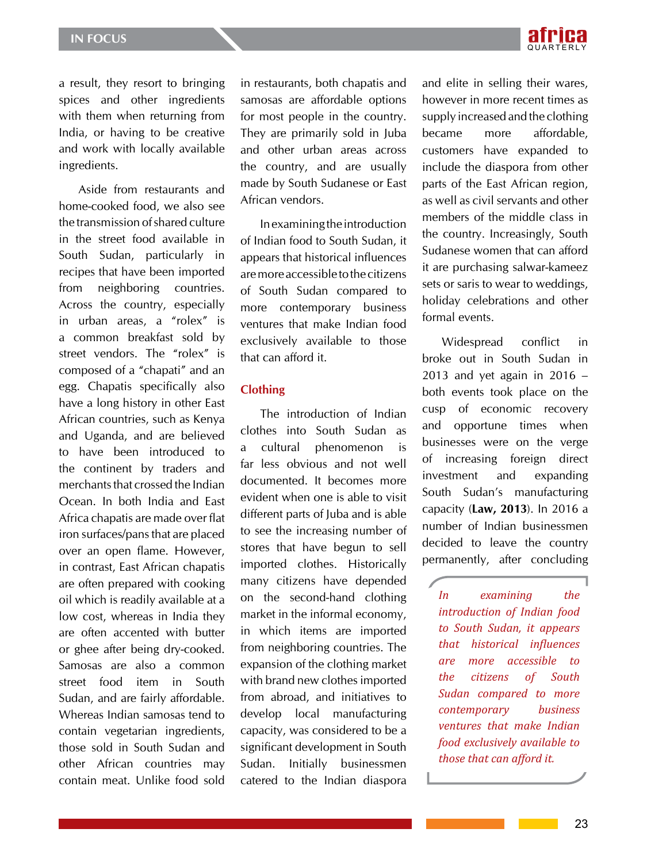

a result, they resort to bringing spices and other ingredients with them when returning from India, or having to be creative and work with locally available ingredients.

Aside from restaurants and home-cooked food, we also see the transmission of shared culture in the street food available in South Sudan, particularly in recipes that have been imported from neighboring countries. Across the country, especially in urban areas, a "rolex" is a common breakfast sold by street vendors. The "rolex" is composed of a "chapati" and an egg. Chapatis specifically also have a long history in other East African countries, such as Kenya and Uganda, and are believed to have been introduced to the continent by traders and merchants that crossed the Indian Ocean. In both India and East Africa chapatis are made over flat iron surfaces/pans that are placed over an open flame. However, in contrast, East African chapatis are often prepared with cooking oil which is readily available at a low cost, whereas in India they are often accented with butter or ghee after being dry-cooked. Samosas are also a common street food item in South Sudan, and are fairly affordable. Whereas Indian samosas tend to contain vegetarian ingredients, those sold in South Sudan and other African countries may contain meat. Unlike food sold

in restaurants, both chapatis and samosas are affordable options for most people in the country. They are primarily sold in Juba and other urban areas across the country, and are usually made by South Sudanese or East African vendors.

In examining the introduction of Indian food to South Sudan, it appears that historical influences are more accessible to the citizens of South Sudan compared to more contemporary business ventures that make Indian food exclusively available to those that can afford it.

## **Clothing**

The introduction of Indian clothes into South Sudan as a cultural phenomenon is far less obvious and not well documented. It becomes more evident when one is able to visit different parts of Juba and is able to see the increasing number of stores that have begun to sell imported clothes. Historically many citizens have depended on the second-hand clothing market in the informal economy, in which items are imported from neighboring countries. The expansion of the clothing market with brand new clothes imported from abroad, and initiatives to develop local manufacturing capacity, was considered to be a significant development in South Sudan. Initially businessmen catered to the Indian diaspora

and elite in selling their wares, however in more recent times as supply increased and the clothing became more affordable, customers have expanded to include the diaspora from other parts of the East African region, as well as civil servants and other members of the middle class in the country. Increasingly, South Sudanese women that can afford it are purchasing salwar-kameez sets or saris to wear to weddings, holiday celebrations and other formal events.

Widespread conflict in broke out in South Sudan in 2013 and yet again in 2016 – both events took place on the cusp of economic recovery and opportune times when businesses were on the verge of increasing foreign direct investment and expanding South Sudan's manufacturing capacity (**Law, 2013**). In 2016 a number of Indian businessmen decided to leave the country permanently, after concluding

*In examining the introduction of Indian food to South Sudan, it appears that historical influences are more accessible to the citizens of South Sudan compared to more contemporary business ventures that make Indian food exclusively available to those that can afford it.*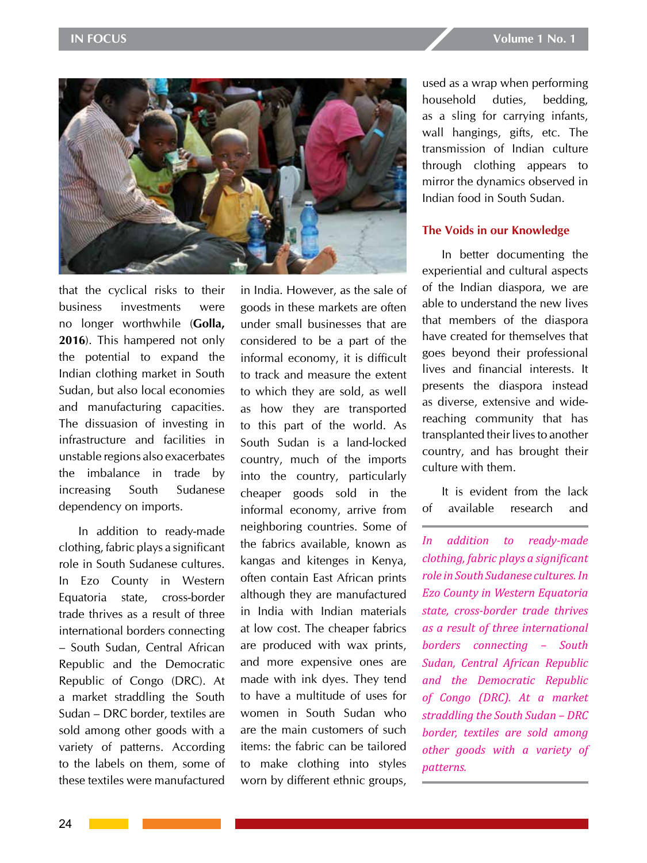

that the cyclical risks to their business investments were no longer worthwhile (**Golla, 2016**). This hampered not only the potential to expand the Indian clothing market in South Sudan, but also local economies and manufacturing capacities. The dissuasion of investing in infrastructure and facilities in unstable regions also exacerbates the imbalance in trade by increasing South Sudanese dependency on imports.

In addition to ready-made clothing, fabric plays a significant role in South Sudanese cultures. In Ezo County in Western Equatoria state, cross-border trade thrives as a result of three international borders connecting – South Sudan, Central African Republic and the Democratic Republic of Congo (DRC). At a market straddling the South Sudan – DRC border, textiles are sold among other goods with a variety of patterns. According to the labels on them, some of these textiles were manufactured

in India. However, as the sale of goods in these markets are often under small businesses that are considered to be a part of the informal economy, it is difficult to track and measure the extent to which they are sold, as well as how they are transported to this part of the world. As South Sudan is a land-locked country, much of the imports into the country, particularly cheaper goods sold in the informal economy, arrive from neighboring countries. Some of the fabrics available, known as kangas and kitenges in Kenya, often contain East African prints although they are manufactured in India with Indian materials at low cost. The cheaper fabrics are produced with wax prints, and more expensive ones are made with ink dyes. They tend to have a multitude of uses for women in South Sudan who are the main customers of such items: the fabric can be tailored to make clothing into styles worn by different ethnic groups,

used as a wrap when performing household duties, bedding, as a sling for carrying infants, wall hangings, gifts, etc. The transmission of Indian culture through clothing appears to mirror the dynamics observed in Indian food in South Sudan.

#### **The Voids in our Knowledge**

In better documenting the experiential and cultural aspects of the Indian diaspora, we are able to understand the new lives that members of the diaspora have created for themselves that goes beyond their professional lives and financial interests. It presents the diaspora instead as diverse, extensive and widereaching community that has transplanted their lives to another country, and has brought their culture with them.

It is evident from the lack of available research and

*In addition to ready-made clothing, fabric plays a significant role in South Sudanese cultures. In Ezo County in Western Equatoria state, cross-border trade thrives as a result of three international borders connecting – South Sudan, Central African Republic and the Democratic Republic of Congo (DRC). At a market straddling the South Sudan – DRC border, textiles are sold among other goods with a variety of patterns.*